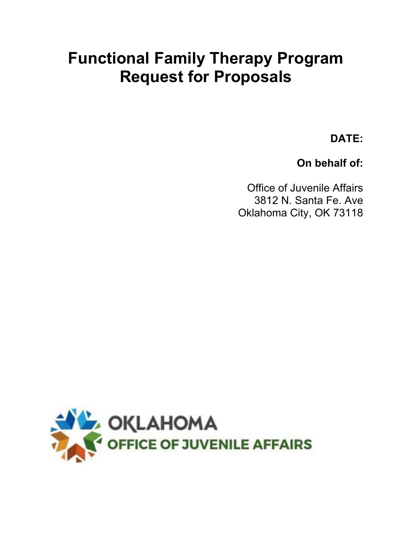## **Functional Family Therapy Program Request for Proposals**

**DATE:**

**On behalf of:**

Office of Juvenile Affairs 3812 N. Santa Fe. Ave Oklahoma City, OK 73118

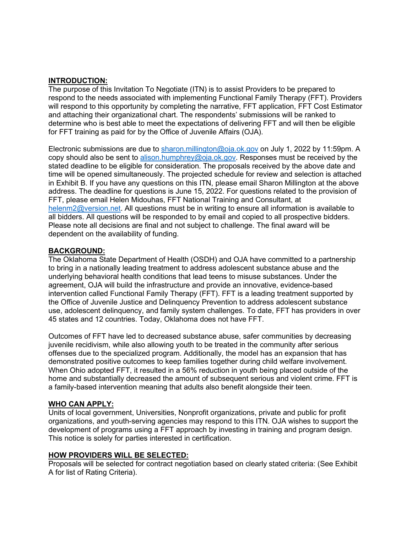### **INTRODUCTION:**

The purpose of this Invitation To Negotiate (ITN) is to assist Providers to be prepared to respond to the needs associated with implementing Functional Family Therapy (FFT). Providers will respond to this opportunity by completing the narrative, FFT application, FFT Cost Estimator and attaching their organizational chart. The respondents' submissions will be ranked to determine who is best able to meet the expectations of delivering FFT and will then be eligible for FFT training as paid for by the Office of Juvenile Affairs (OJA).

Electronic submissions are due to [sharon.millington@oja.ok.gov](mailto:sharon.millington@oja.ok.gov) on July 1, 2022 by 11:59pm. A copy should also be sent to [alison.humphrey@oja.ok.gov.](mailto:alison.humphrey@oja.ok.gov) Responses must be received by the stated deadline to be eligible for consideration. The proposals received by the above date and time will be opened simultaneously. The projected schedule for review and selection is attached in Exhibit B. If you have any questions on this ITN, please email Sharon Millington at the above address. The deadline for questions is June 15, 2022. For questions related to the provision of FFT, please email Helen Midouhas, FFT National Training and Consultant, at [helenm2@version.net.](mailto:helenm2@version.net) All questions must be in writing to ensure all information is available to all bidders. All questions will be responded to by email and copied to all prospective bidders. Please note all decisions are final and not subject to challenge. The final award will be dependent on the availability of funding.

#### **BACKGROUND:**

The Oklahoma State Department of Health (OSDH) and OJA have committed to a partnership to bring in a nationally leading treatment to address adolescent substance abuse and the underlying behavioral health conditions that lead teens to misuse substances. Under the agreement, OJA will build the infrastructure and provide an innovative, evidence-based intervention called Functional Family Therapy (FFT). FFT is a leading treatment supported by the Office of Juvenile Justice and Delinquency Prevention to address adolescent substance use, adolescent delinquency, and family system challenges. To date, FFT has providers in over 45 states and 12 countries. Today, Oklahoma does not have FFT.

Outcomes of FFT have led to decreased substance abuse, safer communities by decreasing juvenile recidivism, while also allowing youth to be treated in the community after serious offenses due to the specialized program. Additionally, the model has an expansion that has demonstrated positive outcomes to keep families together during child welfare involvement. When Ohio adopted FFT, it resulted in a 56% reduction in youth being placed outside of the home and substantially decreased the amount of subsequent serious and violent crime. FFT is a family-based intervention meaning that adults also benefit alongside their teen.

#### **WHO CAN APPLY:**

Units of local government, Universities, Nonprofit organizations, private and public for profit organizations, and youth-serving agencies may respond to this ITN. OJA wishes to support the development of programs using a FFT approach by investing in training and program design. This notice is solely for parties interested in certification.

#### **HOW PROVIDERS WILL BE SELECTED:**

Proposals will be selected for contract negotiation based on clearly stated criteria: (See Exhibit A for list of Rating Criteria).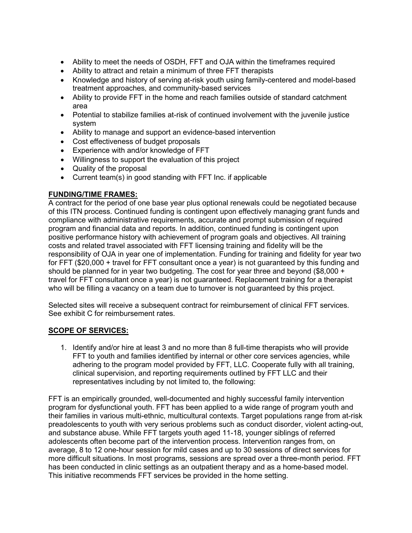- Ability to meet the needs of OSDH, FFT and OJA within the timeframes required
- Ability to attract and retain a minimum of three FFT therapists
- Knowledge and history of serving at-risk youth using family-centered and model-based treatment approaches, and community-based services
- Ability to provide FFT in the home and reach families outside of standard catchment area
- Potential to stabilize families at-risk of continued involvement with the juvenile justice system
- Ability to manage and support an evidence-based intervention
- Cost effectiveness of budget proposals
- Experience with and/or knowledge of FFT
- Willingness to support the evaluation of this project
- Quality of the proposal
- Current team(s) in good standing with FFT Inc. if applicable

### **FUNDING/TIME FRAMES:**

A contract for the period of one base year plus optional renewals could be negotiated because of this ITN process. Continued funding is contingent upon effectively managing grant funds and compliance with administrative requirements, accurate and prompt submission of required program and financial data and reports. In addition, continued funding is contingent upon positive performance history with achievement of program goals and objectives. All training costs and related travel associated with FFT licensing training and fidelity will be the responsibility of OJA in year one of implementation. Funding for training and fidelity for year two for FFT (\$20,000 + travel for FFT consultant once a year) is not guaranteed by this funding and should be planned for in year two budgeting. The cost for year three and beyond (\$8,000 + travel for FFT consultant once a year) is not guaranteed. Replacement training for a therapist who will be filling a vacancy on a team due to turnover is not guaranteed by this project.

Selected sites will receive a subsequent contract for reimbursement of clinical FFT services. See exhibit C for reimbursement rates.

#### **SCOPE OF SERVICES:**

1. Identify and/or hire at least 3 and no more than 8 full-time therapists who will provide FFT to youth and families identified by internal or other core services agencies, while adhering to the program model provided by FFT, LLC. Cooperate fully with all training, clinical supervision, and reporting requirements outlined by FFT LLC and their representatives including by not limited to, the following:

FFT is an empirically grounded, well-documented and highly successful family intervention program for dysfunctional youth. FFT has been applied to a wide range of program youth and their families in various multi-ethnic, multicultural contexts. Target populations range from at-risk preadolescents to youth with very serious problems such as conduct disorder, violent acting-out, and substance abuse. While FFT targets youth aged 11-18, younger siblings of referred adolescents often become part of the intervention process. Intervention ranges from, on average, 8 to 12 one-hour session for mild cases and up to 30 sessions of direct services for more difficult situations. In most programs, sessions are spread over a three-month period. FFT has been conducted in clinic settings as an outpatient therapy and as a home-based model. This initiative recommends FFT services be provided in the home setting.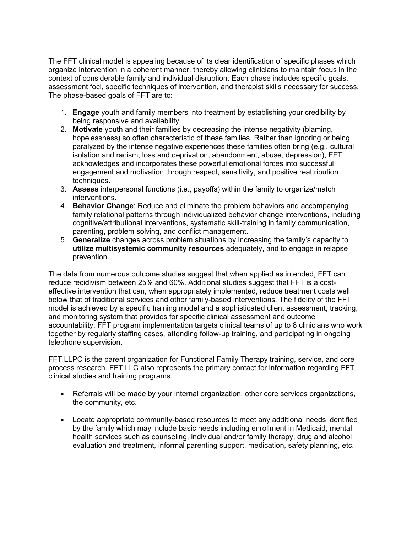The FFT clinical model is appealing because of its clear identification of specific phases which organize intervention in a coherent manner, thereby allowing clinicians to maintain focus in the context of considerable family and individual disruption. Each phase includes specific goals, assessment foci, specific techniques of intervention, and therapist skills necessary for success. The phase-based goals of FFT are to:

- 1. **Engage** youth and family members into treatment by establishing your credibility by being responsive and availability.
- 2. **Motivate** youth and their families by decreasing the intense negativity (blaming, hopelessness) so often characteristic of these families. Rather than ignoring or being paralyzed by the intense negative experiences these families often bring (e.g., cultural isolation and racism, loss and deprivation, abandonment, abuse, depression), FFT acknowledges and incorporates these powerful emotional forces into successful engagement and motivation through respect, sensitivity, and positive reattribution techniques.
- 3. **Assess** interpersonal functions (i.e., payoffs) within the family to organize/match interventions.
- 4. **Behavior Change**: Reduce and eliminate the problem behaviors and accompanying family relational patterns through individualized behavior change interventions, including cognitive/attributional interventions, systematic skill-training in family communication, parenting, problem solving, and conflict management.
- 5. **Generalize** changes across problem situations by increasing the family's capacity to **utilize multisystemic community resources** adequately, and to engage in relapse prevention.

The data from numerous outcome studies suggest that when applied as intended, FFT can reduce recidivism between 25% and 60%. Additional studies suggest that FFT is a costeffective intervention that can, when appropriately implemented, reduce treatment costs well below that of traditional services and other family-based interventions. The fidelity of the FFT model is achieved by a specific training model and a sophisticated client assessment, tracking, and monitoring system that provides for specific clinical assessment and outcome accountability. FFT program implementation targets clinical teams of up to 8 clinicians who work together by regularly staffing cases, attending follow-up training, and participating in ongoing telephone supervision.

FFT LLPC is the parent organization for Functional Family Therapy training, service, and core process research. FFT LLC also represents the primary contact for information regarding FFT clinical studies and training programs.

- Referrals will be made by your internal organization, other core services organizations, the community, etc.
- Locate appropriate community-based resources to meet any additional needs identified by the family which may include basic needs including enrollment in Medicaid, mental health services such as counseling, individual and/or family therapy, drug and alcohol evaluation and treatment, informal parenting support, medication, safety planning, etc.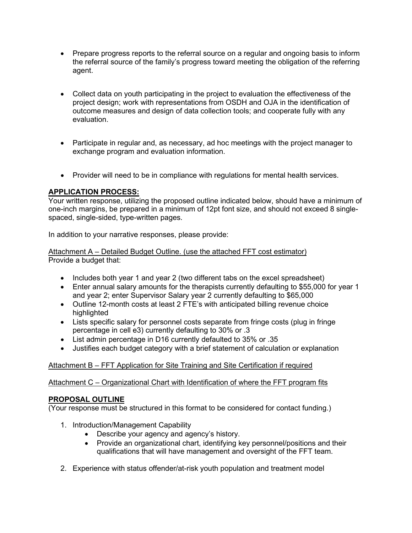- Prepare progress reports to the referral source on a regular and ongoing basis to inform the referral source of the family's progress toward meeting the obligation of the referring agent.
- Collect data on youth participating in the project to evaluation the effectiveness of the project design; work with representations from OSDH and OJA in the identification of outcome measures and design of data collection tools; and cooperate fully with any evaluation.
- Participate in regular and, as necessary, ad hoc meetings with the project manager to exchange program and evaluation information.
- Provider will need to be in compliance with regulations for mental health services.

### **APPLICATION PROCESS:**

Your written response, utilizing the proposed outline indicated below, should have a minimum of one-inch margins, be prepared in a minimum of 12pt font size, and should not exceed 8 singlespaced, single-sided, type-written pages.

In addition to your narrative responses, please provide:

Attachment A – Detailed Budget Outline. (use the attached FFT cost estimator) Provide a budget that:

- Includes both year 1 and year 2 (two different tabs on the excel spreadsheet)
- Enter annual salary amounts for the therapists currently defaulting to \$55,000 for year 1 and year 2; enter Supervisor Salary year 2 currently defaulting to \$65,000
- Outline 12-month costs at least 2 FTE's with anticipated billing revenue choice highlighted
- Lists specific salary for personnel costs separate from fringe costs (plug in fringe percentage in cell e3) currently defaulting to 30% or .3
- List admin percentage in D16 currently defaulted to 35% or .35
- Justifies each budget category with a brief statement of calculation or explanation

#### Attachment B – FFT Application for Site Training and Site Certification if required

Attachment C – Organizational Chart with Identification of where the FFT program fits

#### **PROPOSAL OUTLINE**

(Your response must be structured in this format to be considered for contact funding.)

- 1. Introduction/Management Capability
	- Describe your agency and agency's history.
	- Provide an organizational chart, identifying key personnel/positions and their qualifications that will have management and oversight of the FFT team.
- 2. Experience with status offender/at-risk youth population and treatment model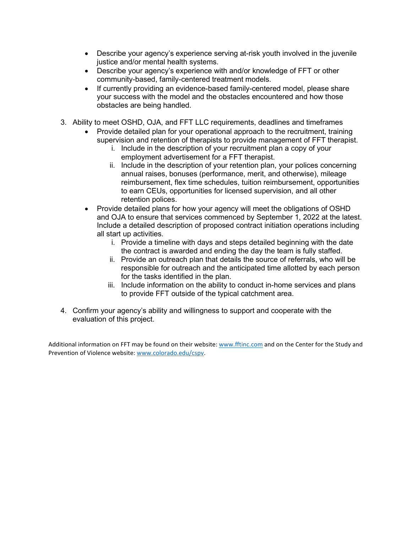- Describe your agency's experience serving at-risk youth involved in the juvenile justice and/or mental health systems.
- Describe your agency's experience with and/or knowledge of FFT or other community-based, family-centered treatment models.
- If currently providing an evidence-based family-centered model, please share your success with the model and the obstacles encountered and how those obstacles are being handled.
- 3. Ability to meet OSHD, OJA, and FFT LLC requirements, deadlines and timeframes
	- Provide detailed plan for your operational approach to the recruitment, training supervision and retention of therapists to provide management of FFT therapist.
		- i. Include in the description of your recruitment plan a copy of your employment advertisement for a FFT therapist.
		- ii. Include in the description of your retention plan, your polices concerning annual raises, bonuses (performance, merit, and otherwise), mileage reimbursement, flex time schedules, tuition reimbursement, opportunities to earn CEUs, opportunities for licensed supervision, and all other retention polices.
	- Provide detailed plans for how your agency will meet the obligations of OSHD and OJA to ensure that services commenced by September 1, 2022 at the latest. Include a detailed description of proposed contract initiation operations including all start up activities.
		- i. Provide a timeline with days and steps detailed beginning with the date the contract is awarded and ending the day the team is fully staffed.
		- ii. Provide an outreach plan that details the source of referrals, who will be responsible for outreach and the anticipated time allotted by each person for the tasks identified in the plan.
		- iii. Include information on the ability to conduct in-home services and plans to provide FFT outside of the typical catchment area.
- 4. Confirm your agency's ability and willingness to support and cooperate with the evaluation of this project.

Additional information on FFT may be found on their website[: www.fftinc.com](http://www.fftinc.com/) and on the Center for the Study and Prevention of Violence website[: www.colorado.edu/cspv.](http://www.colorado.edu/cspv)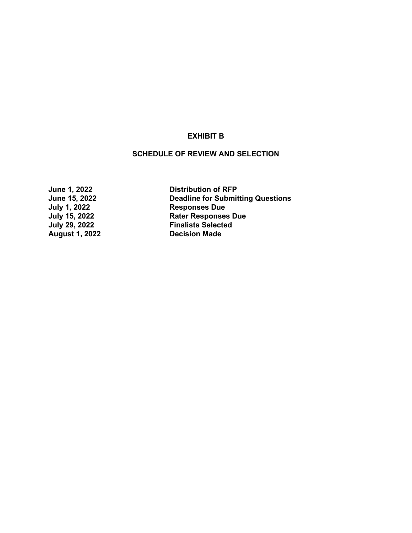### **EXHIBIT B**

#### **SCHEDULE OF REVIEW AND SELECTION**

**August 1, 2022** 

**June 1, 2022 Distribution of RFP Deadline for Submitting Questions July 1, 2022 Responses Due July 15, 2022 Rater Responses Due Finalists Selected**<br>**Decision Made**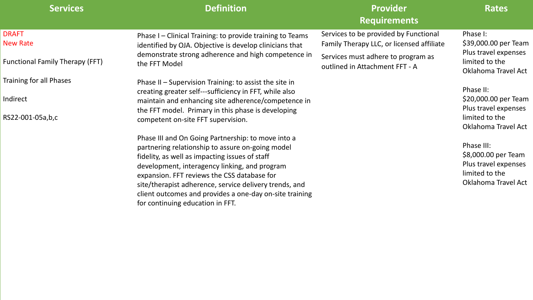# **Services Provider Requirements**

## **Rates**

### DRAFT New Rate

Functional Family Therapy (FFT)

Training for all Phases

Indirect

RS22-001-05a,b,c

Phase II – Supervision Training: to assist the site in creating greater self---sufficiency in FFT, while also maintain and enhancing site adherence/competence in the FFT model. Primary in this phase is developing competent on-site FFT supervision.

Phase I – Clinical Training: to provide training to Teams identified by OJA. Objective is develop clinicians that demonstrate strong adherence and high competence in the FFT Model Services to be provided by Functional Family Therapy LLC, or licensed affiliate Services must adhere to program as

Phase III and On Going Partnership: to move into a partnering relationship to assure on-going model fidelity, as well as impacting issues of staff development, interagency linking, and program expansion. FFT reviews the CSS database for site/therapist adherence, service delivery trends, and client outcomes and provides a one-day on-site training for continuing education in FFT.

outlined in Attachment FFT - A

Phase I: \$39,000.00 per Team Plus travel expenses limited to the Oklahoma Travel Act

Phase II: \$20,000.00 per Team Plus travel expenses limited to the Oklahoma Travel Act

Phase III: \$8,000.00 per Team Plus travel expenses limited to the Oklahoma Travel Act